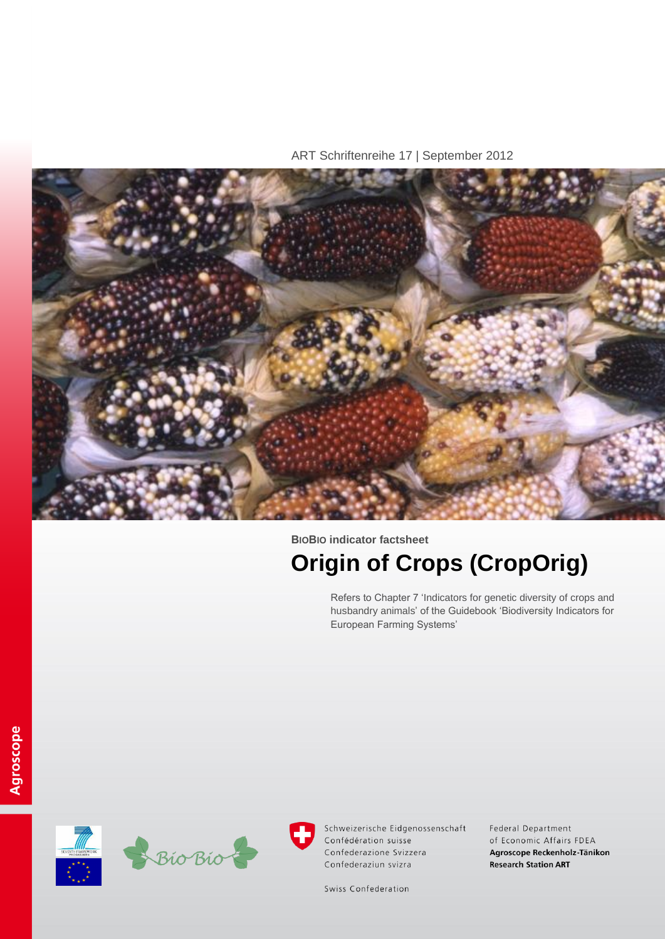ART Schriftenreihe 17 | September 2012



# **BIOBIO indicator factsheet Origin of Crops (CropOrig)**

Refers to Chapter 7 'Indicators for genetic diversity of crops and husbandry animals' of the Guidebook 'Biodiversity Indicators for European Farming Systems'





Schweizerische Eidgenossenschaft Confédération suisse Confederazione Svizzera Confederaziun svizra

Federal Department of Economic Affairs FDEA Agroscope Reckenholz-Tänikon **Research Station ART** 

Swiss Confederation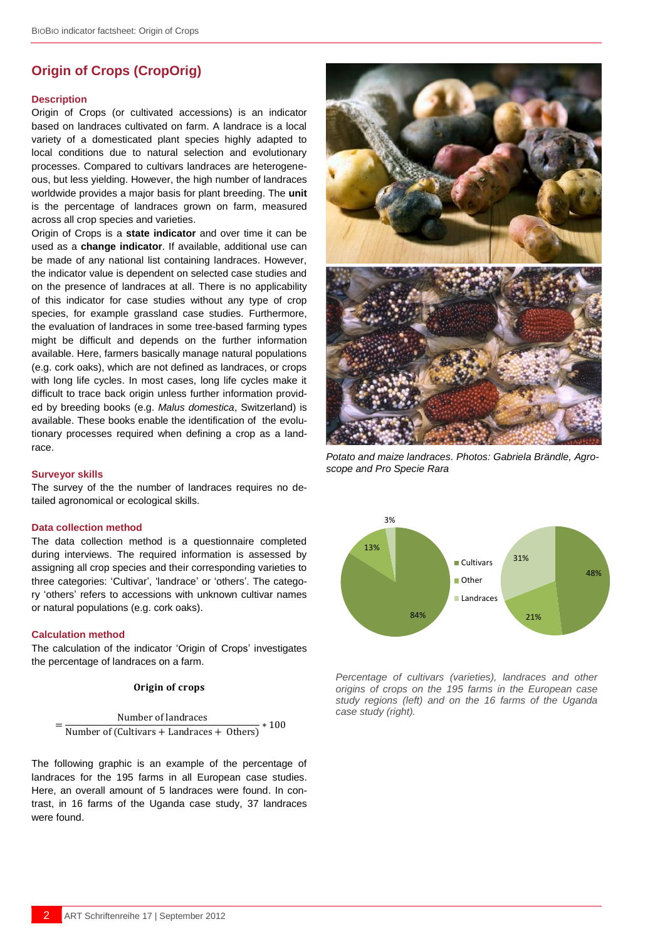## **Origin of Crops (CropOrig)**

## **Description**

Origin of Crops (or cultivated accessions) is an indicator based on landraces cultivated on farm. A landrace is a local variety of a [domesticated](http://en.wikipedia.org/wiki/Domestication) plant species highly adapted to local conditions due to natural selection and evolutionary processes. Compared to cultivars landraces are heterogeneous, but less yielding. However, the high number of landraces worldwide provides a major basis for plant breeding. The **unit** is the percentage of landraces grown on farm, measured across all crop species and varieties.

Origin of Crops is a **state indicator** and over time it can be used as a **change indicator**. If available, additional use can be made of any national list containing landraces. However, the indicator value is dependent on selected case studies and on the presence of landraces at all. There is no applicability of this indicator for case studies without any type of crop species, for example grassland case studies. Furthermore, the evaluation of landraces in some tree-based farming types might be difficult and depends on the further information available. Here, farmers basically manage natural populations (e.g. cork oaks), which are not defined as landraces, or crops with long life cycles. In most cases, long life cycles make it difficult to trace back origin unless further information provided by breeding books (e.g. *Malus domestica*, Switzerland) is available. These books enable the identification of the evolutionary processes required when defining a crop as a landrace.

#### **Surveyor skills**

The survey of the the number of landraces requires no detailed agronomical or ecological skills.

#### **Data collection method**

The data collection method is a questionnaire completed during interviews. The required information is assessed by assigning all crop species and their corresponding varieties to three categories: 'Cultivar', 'landrace' or 'others'. The category 'others' refers to accessions with unknown cultivar names or natural populations (e.g. cork oaks).

## **Calculation method**

 $=$ 

The calculation of the indicator 'Origin of Crops' investigates the percentage of landraces on a farm.

## Origin of crops

```
Number of landraces
Number of (Cultivars + Landraces + Others)
                                          *100
```
The following graphic is an example of the percentage of landraces for the 195 farms in all European case studies. Here, an overall amount of 5 landraces were found. In contrast, in 16 farms of the Uganda case study, 37 landraces were found.



*Potato and maize landraces. Photos: Gabriela Brändle, Agroscope and Pro Specie Rara*



*Percentage of cultivars (varieties), landraces and other origins of crops on the 195 farms in the European case study regions (left) and on the 16 farms of the Uganda case study (right).*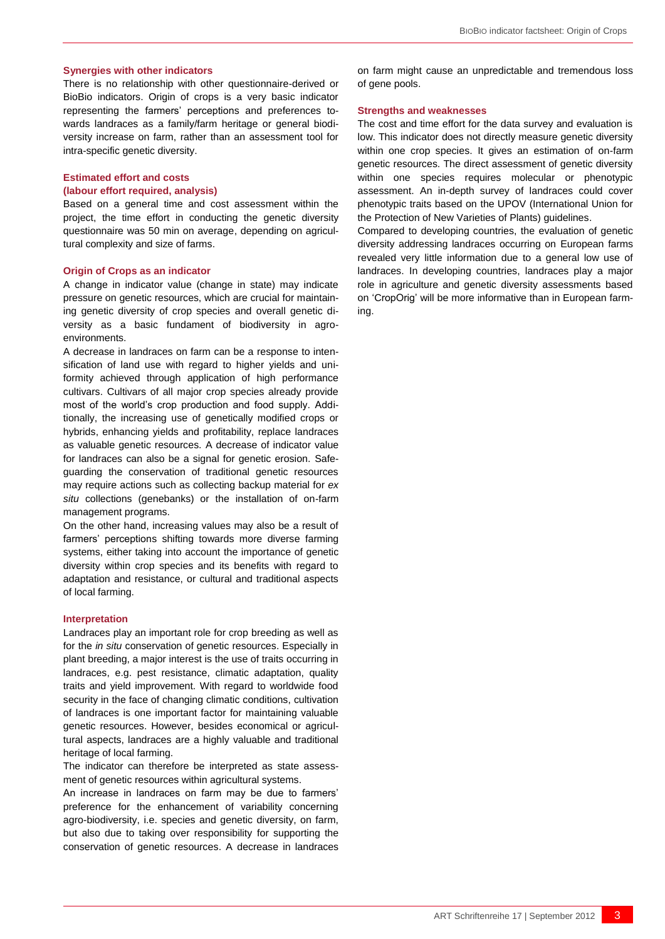## **Synergies with other indicators**

There is no relationship with other questionnaire-derived or BioBio indicators. Origin of crops is a very basic indicator representing the farmers' perceptions and preferences towards landraces as a family/farm heritage or general biodiversity increase on farm, rather than an assessment tool for intra-specific genetic diversity.

## **Estimated effort and costs**

## **(labour effort required, analysis)**

Based on a general time and cost assessment within the project, the time effort in conducting the genetic diversity questionnaire was 50 min on average, depending on agricultural complexity and size of farms.

#### **Origin of Crops as an indicator**

A change in indicator value (change in state) may indicate pressure on genetic resources, which are crucial for maintaining genetic diversity of crop species and overall genetic diversity as a basic fundament of biodiversity in agroenvironments.

A decrease in landraces on farm can be a response to intensification of land use with regard to higher yields and uniformity achieved through application of high performance cultivars. Cultivars of all major crop species already provide most of the world's crop production and food supply. Additionally, the increasing use of genetically modified crops or hybrids, enhancing yields and profitability, replace landraces as valuable genetic resources. A decrease of indicator value for landraces can also be a signal for genetic erosion. Safeguarding the conservation of traditional genetic resources may require actions such as collecting backup material for *ex situ* collections (genebanks) or the installation of on-farm management programs.

On the other hand, increasing values may also be a result of farmers' perceptions shifting towards more diverse farming systems, either taking into account the importance of genetic diversity within crop species and its benefits with regard to adaptation and resistance, or cultural and traditional aspects of local farming.

#### **Interpretation**

Landraces play an important role for crop breeding as well as for the *in situ* conservation of genetic resources. Especially in plant breeding, a major interest is the use of traits occurring in landraces, e.g. pest resistance, climatic adaptation, quality traits and yield improvement. With regard to worldwide food security in the face of changing climatic conditions, cultivation of landraces is one important factor for maintaining valuable genetic resources. However, besides economical or agricultural aspects, landraces are a highly valuable and traditional heritage of local farming.

The indicator can therefore be interpreted as state assessment of genetic resources within agricultural systems.

An increase in landraces on farm may be due to farmers' preference for the enhancement of variability concerning agro-biodiversity, i.e. species and genetic diversity, on farm, but also due to taking over responsibility for supporting the conservation of genetic resources. A decrease in landraces on farm might cause an unpredictable and tremendous loss of gene pools.

### **Strengths and weaknesses**

The cost and time effort for the data survey and evaluation is low. This indicator does not directly measure genetic diversity within one crop species. It gives an estimation of on-farm genetic resources. The direct assessment of genetic diversity within one species requires molecular or phenotypic assessment. An in-depth survey of landraces could cover phenotypic traits based on the UPOV (International Union for the Protection of New Varieties of Plants) guidelines.

Compared to developing countries, the evaluation of genetic diversity addressing landraces occurring on European farms revealed very little information due to a general low use of landraces. In developing countries, landraces play a major role in agriculture and genetic diversity assessments based on 'CropOrig' will be more informative than in European farming.